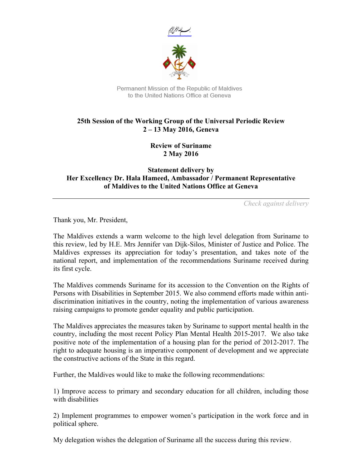



Permanent Mission of the Republic of Maldives to the United Nations Office at Geneva

## **25th Session of the Working Group of the Universal Periodic Review 2 – 13 May 2016, Geneva**

**Review of Suriname 2 May 2016**

**Statement delivery by Her Excellency Dr. Hala Hameed, Ambassador / Permanent Representative of Maldives to the United Nations Office at Geneva**

*Check against delivery*

Thank you, Mr. President,

The Maldives extends a warm welcome to the high level delegation from Suriname to this review, led by H.E. Mrs Jennifer van Dijk-Silos, Minister of Justice and Police. The Maldives expresses its appreciation for today's presentation, and takes note of the national report, and implementation of the recommendations Suriname received during its first cycle.

The Maldives commends Suriname for its accession to the Convention on the Rights of Persons with Disabilities in September 2015. We also commend efforts made within antidiscrimination initiatives in the country, noting the implementation of various awareness raising campaigns to promote gender equality and public participation.

The Maldives appreciates the measures taken by Suriname to support mental health in the country, including the most recent Policy Plan Mental Health 2015-2017. We also take positive note of the implementation of a housing plan for the period of 2012-2017. The right to adequate housing is an imperative component of development and we appreciate the constructive actions of the State in this regard.

Further, the Maldives would like to make the following recommendations:

1) Improve access to primary and secondary education for all children, including those with disabilities

2) Implement programmes to empower women's participation in the work force and in political sphere.

My delegation wishes the delegation of Suriname all the success during this review.